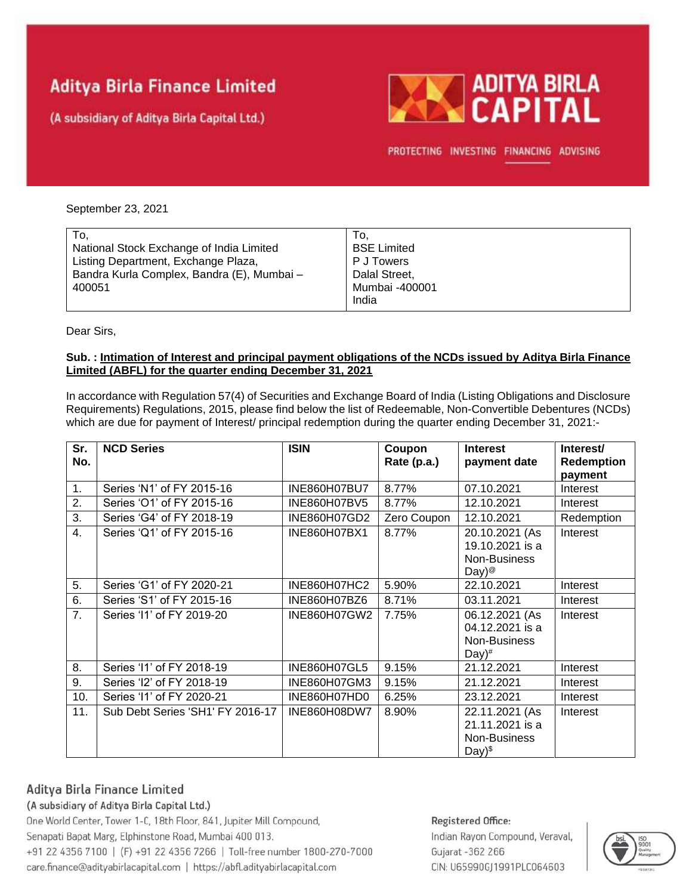# **Aditya Birla Finance Limited**

(A subsidiary of Aditya Birla Capital Ltd.)



PROTECTING INVESTING FINANCING ADVISING

### September 23, 2021

| To,                                        | To.                     |
|--------------------------------------------|-------------------------|
| National Stock Exchange of India Limited   | <b>BSE Limited</b>      |
| Listing Department, Exchange Plaza,        | P J Towers              |
| Bandra Kurla Complex, Bandra (E), Mumbai - | Dalal Street.           |
| 400051                                     | Mumbai -400001<br>India |

Dear Sirs,

### **Sub. : Intimation of Interest and principal payment obligations of the NCDs issued by Aditya Birla Finance Limited (ABFL) for the quarter ending December 31, 2021**

In accordance with Regulation 57(4) of Securities and Exchange Board of India (Listing Obligations and Disclosure Requirements) Regulations, 2015, please find below the list of Redeemable, Non-Convertible Debentures (NCDs) which are due for payment of Interest/ principal redemption during the quarter ending December 31, 2021:-

| Sr.<br>No.       | <b>NCD Series</b>                | <b>ISIN</b>         | Coupon<br>Rate (p.a.) | <b>Interest</b><br>payment date                                          | Interest/<br><b>Redemption</b> |
|------------------|----------------------------------|---------------------|-----------------------|--------------------------------------------------------------------------|--------------------------------|
|                  |                                  |                     |                       |                                                                          | payment                        |
| 1.               | Series 'N1' of FY 2015-16        | <b>INE860H07BU7</b> | 8.77%                 | 07.10.2021                                                               | Interest                       |
| 2.               | Series 'O1' of FY 2015-16        | INE860H07BV5        | 8.77%                 | 12.10.2021                                                               | Interest                       |
| 3.               | Series 'G4' of FY 2018-19        | INE860H07GD2        | Zero Coupon           | 12.10.2021                                                               | Redemption                     |
| 4.               | Series 'Q1' of FY 2015-16        | INE860H07BX1        | 8.77%                 | 20.10.2021 (As<br>19.10.2021 is a<br>Non-Business<br>Day) <sup>@</sup>   | Interest                       |
| 5.               | Series 'G1' of FY 2020-21        | INE860H07HC2        | 5.90%                 | 22.10.2021                                                               | Interest                       |
| 6.               | Series 'S1' of FY 2015-16        | INE860H07BZ6        | 8.71%                 | 03.11.2021                                                               | Interest                       |
| $\overline{7}$ . | Series '11' of FY 2019-20        | INE860H07GW2        | 7.75%                 | 06.12.2021 (As<br>04.12.2021 is a<br>Non-Business<br>$Day)$ <sup>#</sup> | Interest                       |
| 8.               | Series '11' of FY 2018-19        | INE860H07GL5        | 9.15%                 | 21.12.2021                                                               | Interest                       |
| 9.               | Series 'I2' of FY 2018-19        | INE860H07GM3        | 9.15%                 | 21.12.2021                                                               | Interest                       |
| 10.              | Series '11' of FY 2020-21        | INE860H07HD0        | 6.25%                 | 23.12.2021                                                               | Interest                       |
| 11.              | Sub Debt Series 'SH1' FY 2016-17 | INE860H08DW7        | 8.90%                 | 22.11.2021 (As<br>21.11.2021 is a<br>Non-Business<br>$Day)^{\$}$         | Interest                       |

## Aditya Birla Finance Limited

### (A subsidiary of Aditya Birla Capital Ltd.)

One World Center, Tower 1-C, 18th Floor, 841, Jupiter Mill Compound, Senapati Bapat Marg, Elphinstone Road, Mumbai 400 013. +91 22 4356 7100 | (F) +91 22 4356 7266 | Toll-free number 1800-270-7000 care.finance@adityabirlacapital.com | https://abfl.adityabirlacapital.com

## Registered Office: Indian Rayon Compound, Veraval, Gujarat - 362 266 CIN: U65990GJ1991PLC064603